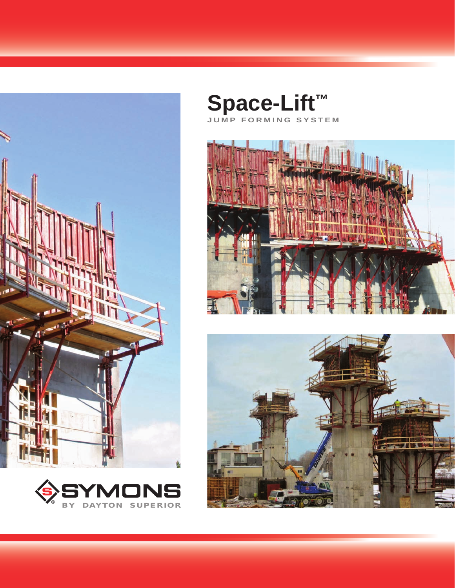



**Space-Lift™ JUMP FORMING SYSTEM**



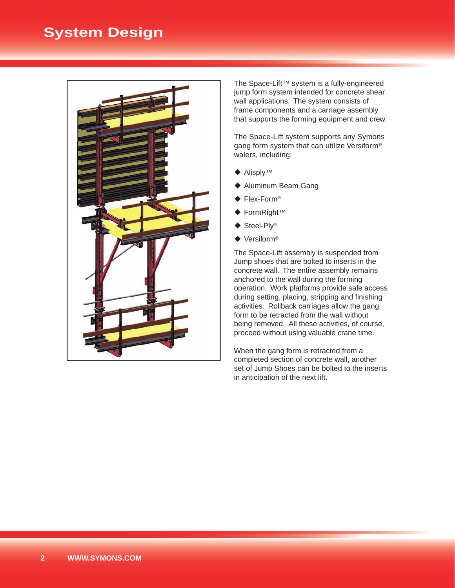# **System Design**



The Space-Lift™ system is a fully-engineered jump form system intended for concrete shear wall applications. The system consists of frame components and a carriage assembly that supports the forming equipment and crew.

The Space-Lift system supports any Symons gang form system that can utilize Versiform® walers, including:

- ◆ Alisply™
- ◆ Aluminum Beam Gang
- ◆ Flex-Form<sup>®</sup>
- FormRight™
- ◆ Steel-Ply<sup>®</sup>
- ◆ Versiform<sup>®</sup>

The Space-Lift assembly is suspended from Jump shoes that are bolted to inserts in the concrete wall. The entire assembly remains anchored to the wall during the forming operation. Work platforms provide safe access during setting, placing, stripping and finishing activities. Rollback carriages allow the gang form to be retracted from the wall without being removed. All these activities, of course, proceed without using valuable crane time.

When the gang form is retracted from a completed section of concrete wall, another set of Jump Shoes can be bolted to the inserts in anticipation of the next lift.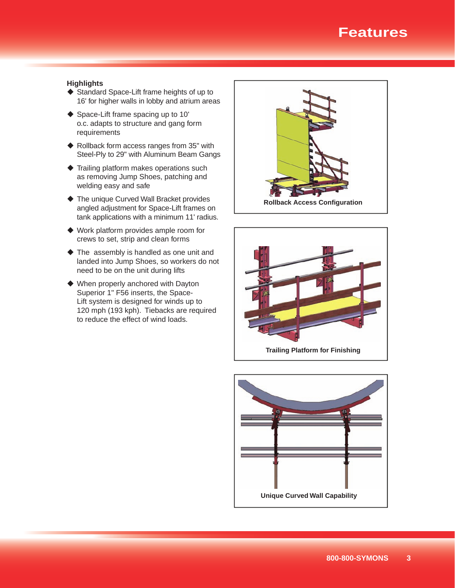# **Features**

#### **Highlights**

- ◆ Standard Space-Lift frame heights of up to 16' for higher walls in lobby and atrium areas
- ◆ Space-Lift frame spacing up to 10' o.c. adapts to structure and gang form requirements
- ◆ Rollback form access ranges from 35" with Steel-Ply to 29" with Aluminum Beam Gangs
- ◆ Trailing platform makes operations such as removing Jump Shoes, patching and welding easy and safe
- ◆ The unique Curved Wall Bracket provides angled adjustment for Space-Lift frames on tank applications with a minimum 11' radius.
- ◆ Work platform provides ample room for crews to set, strip and clean forms
- The assembly is handled as one unit and landed into Jump Shoes, so workers do not need to be on the unit during lifts
- When properly anchored with Dayton Superior 1" F56 inserts, the Space-Lift system is designed for winds up to 120 mph (193 kph). Tiebacks are required to reduce the effect of wind loads.





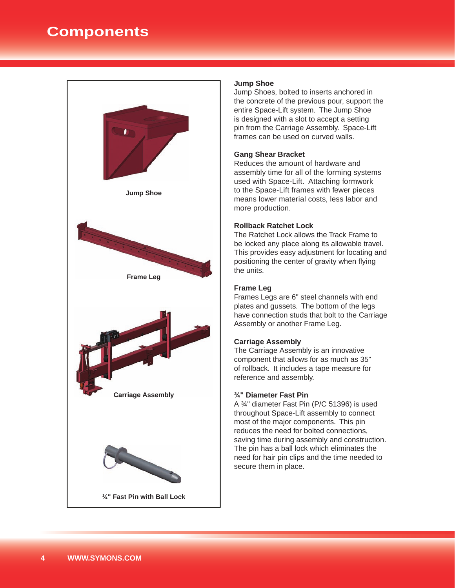# **Components**



#### **Jump Shoe**

Jump Shoes, bolted to inserts anchored in the concrete of the previous pour, support the entire Space-Lift system. The Jump Shoe is designed with a slot to accept a setting pin from the Carriage Assembly. Space-Lift frames can be used on curved walls.

#### **Gang Shear Bracket**

Reduces the amount of hardware and assembly time for all of the forming systems used with Space-Lift. Attaching formwork to the Space-Lift frames with fewer pieces means lower material costs, less labor and more production.

#### **Rollback Ratchet Lock**

The Ratchet Lock allows the Track Frame to be locked any place along its allowable travel. This provides easy adjustment for locating and positioning the center of gravity when flying the units.

#### **Frame Leg**

Frames Legs are 6" steel channels with end plates and gussets. The bottom of the legs have connection studs that bolt to the Carriage Assembly or another Frame Leg.

#### **Carriage Assembly**

The Carriage Assembly is an innovative component that allows for as much as 35" of rollback. It includes a tape measure for reference and assembly.

#### **¾" Diameter Fast Pin**

A ¾" diameter Fast Pin (P/C 51396) is used throughout Space-Lift assembly to connect most of the major components. This pin reduces the need for bolted connections, saving time during assembly and construction. The pin has a ball lock which eliminates the need for hair pin clips and the time needed to secure them in place.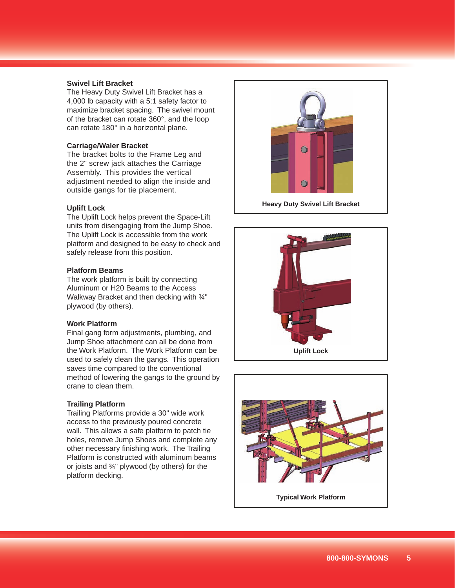### **Swivel Lift Bracket**

The Heavy Duty Swivel Lift Bracket has a 4,000 lb capacity with a 5:1 safety factor to maximize bracket spacing. The swivel mount of the bracket can rotate 360°, and the loop can rotate 180° in a horizontal plane.

#### **Carriage/Waler Bracket**

The bracket bolts to the Frame Leg and the 2" screw jack attaches the Carriage Assembly. This provides the vertical adjustment needed to align the inside and outside gangs for tie placement.

#### **Uplift Lock**

The Uplift Lock helps prevent the Space-Lift units from disengaging from the Jump Shoe. The Uplift Lock is accessible from the work platform and designed to be easy to check and safely release from this position.

#### **Platform Beams**

The work platform is built by connecting Aluminum or H20 Beams to the Access Walkway Bracket and then decking with 3/4" plywood (by others).

#### **Work Platform**

Final gang form adjustments, plumbing, and Jump Shoe attachment can all be done from the Work Platform. The Work Platform can be used to safely clean the gangs. This operation saves time compared to the conventional method of lowering the gangs to the ground by crane to clean them.

## **Trailing Platform**

Trailing Platforms provide a 30" wide work access to the previously poured concrete wall. This allows a safe platform to patch tie holes, remove Jump Shoes and complete any other necessary finishing work. The Trailing Platform is constructed with aluminum beams or joists and ¾" plywood (by others) for the platform decking.



**Heavy Duty Swivel Lift Bracket**



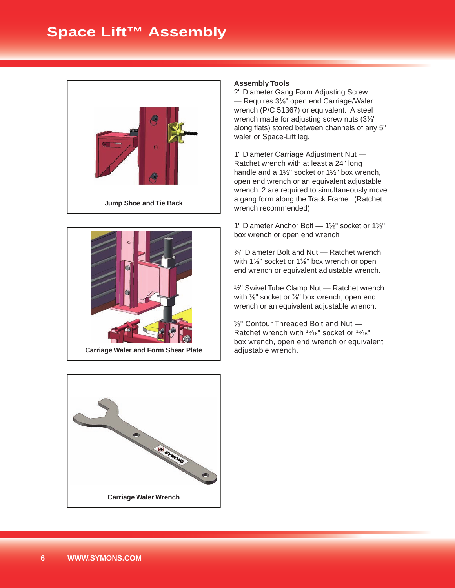



### **Assembly Tools**

2" Diameter Gang Form Adjusting Screw — Requires 3⅛" open end Carriage/Waler wrench (P/C 51367) or equivalent. A steel wrench made for adjusting screw nuts (3⅛" along flats) stored between channels of any 5" waler or Space-Lift leg.

1" Diameter Carriage Adjustment Nut — Ratchet wrench with at least a 24" long handle and a 1½" socket or 1½" box wrench, open end wrench or an equivalent adjustable wrench. 2 are required to simultaneously move a gang form along the Track Frame. (Ratchet wrench recommended)

1" Diameter Anchor Bolt — 1⅝" socket or 1⅝" box wrench or open end wrench

¾" Diameter Bolt and Nut — Ratchet wrench with 1<sup>1/8</sup>" socket or 1<sup>1/8</sup>" box wrench or open end wrench or equivalent adjustable wrench.

½" Swivel Tube Clamp Nut — Ratchet wrench with <sup>7/8"</sup> socket or <sup>7/8"</sup> box wrench, open end wrench or an equivalent adjustable wrench.

⅝" Contour Threaded Bolt and Nut — Ratchet wrench with <sup>15</sup>/16" socket or <sup>15</sup>/16" box wrench, open end wrench or equivalent adjustable wrench.

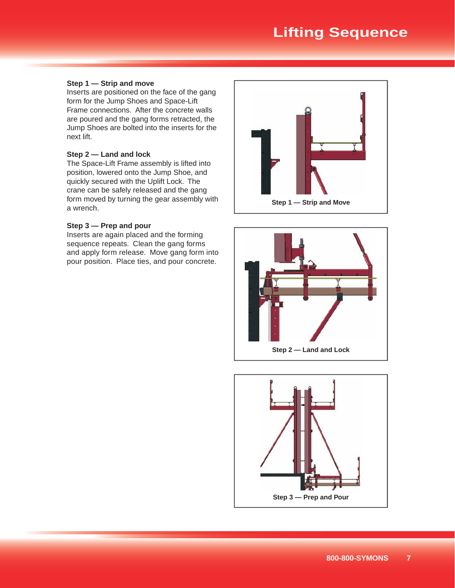# **Lifting Sequence**

## **Step 1 — Strip and move**

Inserts are positioned on the face of the gang form for the Jump Shoes and Space-Lift Frame connections. After the concrete walls are poured and the gang forms retracted, the Jump Shoes are bolted into the inserts for the next lift.

#### **Step 2 — Land and lock**

The Space-Lift Frame assembly is lifted into position, lowered onto the Jump Shoe, and quickly secured with the Uplift Lock. The crane can be safely released and the gang form moved by turning the gear assembly with a wrench.

#### **Step 3 — Prep and pour**

Inserts are again placed and the forming sequence repeats. Clean the gang forms and apply form release. Move gang form into pour position. Place ties, and pour concrete.